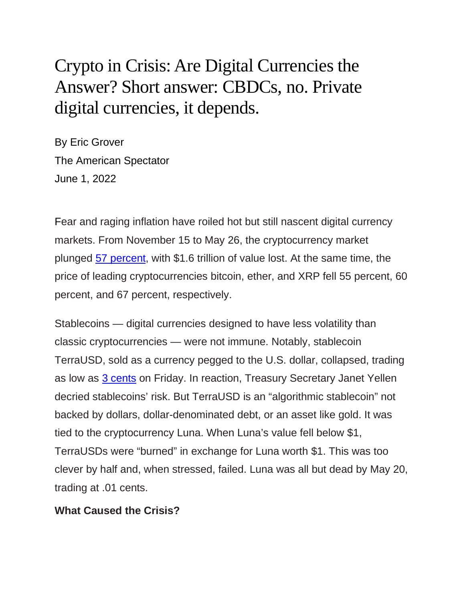# Crypto in Crisis: Are Digital Currencies the Answer? Short answer: CBDCs, no. Private digital currencies, it depends.

By Eric Grover The American Spectator June 1, 2022

Fear and raging inflation have roiled hot but still nascent digital currency markets. From November 15 to May 26, the cryptocurrency market plunged [57 percent,](https://coinmarketcap.com/charts/) with \$1.6 trillion of value lost. At the same time, the price of leading cryptocurrencies bitcoin, ether, and XRP fell 55 percent, 60 percent, and 67 percent, respectively.

Stablecoins — digital currencies designed to have less volatility than classic cryptocurrencies — were not immune. Notably, stablecoin TerraUSD, sold as a currency pegged to the U.S. dollar, collapsed, trading as low as [3 cents](https://www.wsj.com/articles/terrausd-crash-led-to-vanished-savings-shattered-dreams-11653649201) on Friday. In reaction, Treasury Secretary Janet Yellen decried stablecoins' risk. But TerraUSD is an "algorithmic stablecoin" not backed by dollars, dollar-denominated debt, or an asset like gold. It was tied to the cryptocurrency Luna. When Luna's value fell below \$1, TerraUSDs were "burned" in exchange for Luna worth \$1. This was too clever by half and, when stressed, failed. Luna was all but dead by May 20, trading at .01 cents.

## **What Caused the Crisis?**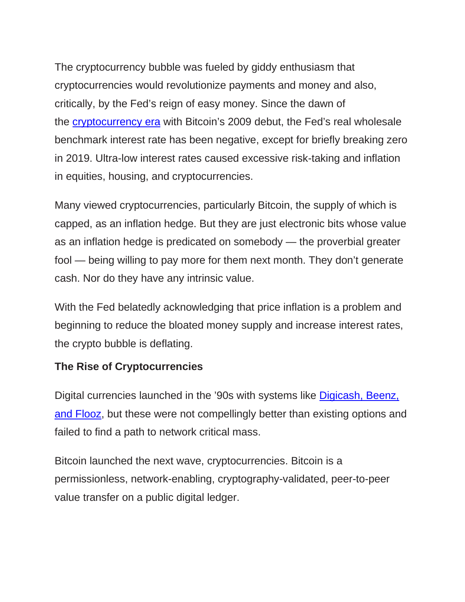The cryptocurrency bubble was fueled by giddy enthusiasm that cryptocurrencies would revolutionize payments and money and also, critically, by the Fed's reign of easy money. Since the dawn of the [cryptocurrency era](https://spectator.org/crypto-regulations-congress/) with Bitcoin's 2009 debut, the Fed's real wholesale benchmark interest rate has been negative, except for briefly breaking zero in 2019. Ultra-low interest rates caused excessive risk-taking and inflation in equities, housing, and cryptocurrencies.

Many viewed cryptocurrencies, particularly Bitcoin, the supply of which is capped, as an inflation hedge. But they are just electronic bits whose value as an inflation hedge is predicated on somebody — the proverbial greater fool — being willing to pay more for them next month. They don't generate cash. Nor do they have any intrinsic value.

With the Fed belatedly acknowledging that price inflation is a problem and beginning to reduce the bloated money supply and increase interest rates, the crypto bubble is deflating.

# **The Rise of Cryptocurrencies**

Digital currencies launched in the '90s with systems like [Digicash, Beenz,](https://www.digitaltransactions.net/magazine_articles/strategies-why-payments-startups-fail/)  [and Flooz,](https://www.digitaltransactions.net/magazine_articles/strategies-why-payments-startups-fail/) but these were not compellingly better than existing options and failed to find a path to network critical mass.

Bitcoin launched the next wave, cryptocurrencies. Bitcoin is a permissionless, network-enabling, cryptography-validated, peer-to-peer value transfer on a public digital ledger.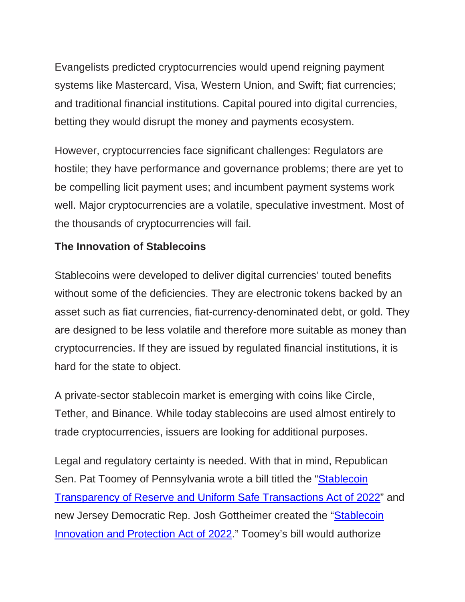Evangelists predicted cryptocurrencies would upend reigning payment systems like Mastercard, Visa, Western Union, and Swift; fiat currencies; and traditional financial institutions. Capital poured into digital currencies, betting they would disrupt the money and payments ecosystem.

However, cryptocurrencies face significant challenges: Regulators are hostile; they have performance and governance problems; there are yet to be compelling licit payment uses; and incumbent payment systems work well. Major cryptocurrencies are a volatile, speculative investment. Most of the thousands of cryptocurrencies will fail.

# **The Innovation of Stablecoins**

Stablecoins were developed to deliver digital currencies' touted benefits without some of the deficiencies. They are electronic tokens backed by an asset such as fiat currencies, fiat-currency-denominated debt, or gold. They are designed to be less volatile and therefore more suitable as money than cryptocurrencies. If they are issued by regulated financial institutions, it is hard for the state to object.

A private-sector stablecoin market is emerging with coins like Circle, Tether, and Binance. While today stablecoins are used almost entirely to trade cryptocurrencies, issuers are looking for additional purposes.

Legal and regulatory certainty is needed. With that in mind, Republican Sen. Pat Toomey of Pennsylvania wrote a bill titled the "Stablecoin [Transparency of Reserve and Uniform Safe Transactions Act of 2022"](https://www.banking.senate.gov/imo/media/doc/the_stablecoin_trust_act.pdf) and new Jersey Democratic Rep. Josh Gottheimer created the ["Stablecoin](https://gottheimer.house.gov/uploadedfiles/dd._stablecoin_innovation_and_protection_act_of_2022.pdf)  [Innovation and Protection Act of 2022.](https://gottheimer.house.gov/uploadedfiles/dd._stablecoin_innovation_and_protection_act_of_2022.pdf)" Toomey's bill would authorize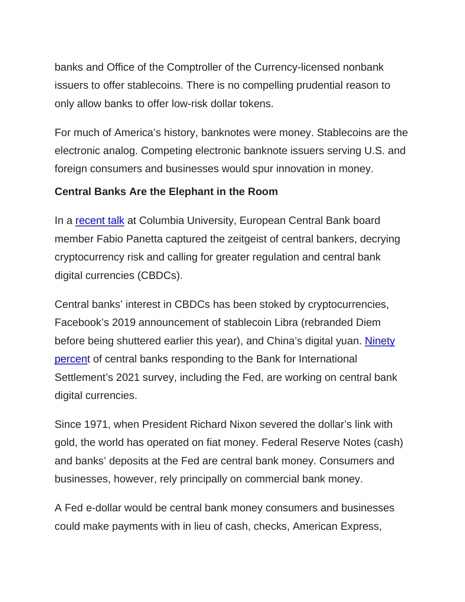banks and Office of the Comptroller of the Currency-licensed nonbank issuers to offer stablecoins. There is no compelling prudential reason to only allow banks to offer low-risk dollar tokens.

For much of America's history, banknotes were money. Stablecoins are the electronic analog. Competing electronic banknote issuers serving U.S. and foreign consumers and businesses would spur innovation in money.

## **Central Banks Are the Elephant in the Room**

In a [recent talk](https://www.ecb.europa.eu/press/key/date/2022/html/ecb.sp220425%7E6436006db0.en.html) at Columbia University, European Central Bank board member Fabio Panetta captured the zeitgeist of central bankers, decrying cryptocurrency risk and calling for greater regulation and central bank digital currencies (CBDCs).

Central banks' interest in CBDCs has been stoked by cryptocurrencies, Facebook's 2019 announcement of stablecoin Libra (rebranded Diem before being shuttered earlier this year), and China's digital yuan. [Ninety](https://www.bis.org/publ/bppdf/bispap125.pdf)  [percent](https://www.bis.org/publ/bppdf/bispap125.pdf) of central banks responding to the Bank for International Settlement's 2021 survey, including the Fed, are working on central bank digital currencies.

Since 1971, when President Richard Nixon severed the dollar's link with gold, the world has operated on fiat money. Federal Reserve Notes (cash) and banks' deposits at the Fed are central bank money. Consumers and businesses, however, rely principally on commercial bank money.

A Fed e-dollar would be central bank money consumers and businesses could make payments with in lieu of cash, checks, American Express,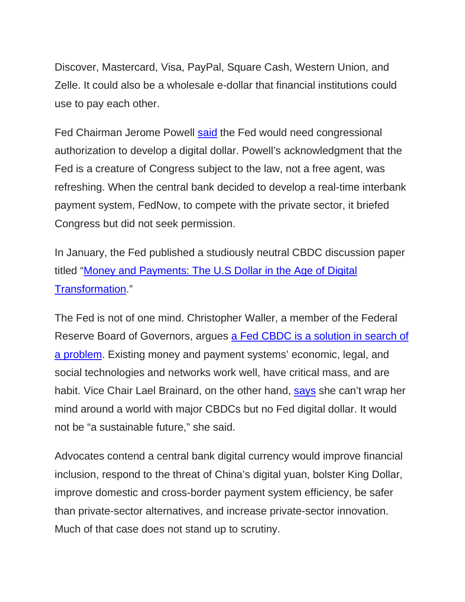Discover, Mastercard, Visa, PayPal, Square Cash, Western Union, and Zelle. It could also be a wholesale e-dollar that financial institutions could use to pay each other.

Fed Chairman Jerome Powell [said](https://www.wsj.com/articles/powell-says-congressional-support-likely-needed-to-adopt-fully-digital-dollar-11616424452) the Fed would need congressional authorization to develop a digital dollar. Powell's acknowledgment that the Fed is a creature of Congress subject to the law, not a free agent, was refreshing. When the central bank decided to develop a real-time interbank payment system, FedNow, to compete with the private sector, it briefed Congress but did not seek permission.

In January, the Fed published a studiously neutral CBDC discussion paper titled ["Money and Payments: The U.S Dollar in the Age of Digital](https://www.federalreserve.gov/publications/files/money-and-payments-20220120.pdf)  [Transformation.](https://www.federalreserve.gov/publications/files/money-and-payments-20220120.pdf)"

The Fed is not of one mind. Christopher Waller, a member of the Federal Reserve Board of Governors, argues [a Fed CBDC is a solution in search of](https://www.bis.org/review/r210806a.pdf)  [a problem.](https://www.bis.org/review/r210806a.pdf) Existing money and payment systems' economic, legal, and social technologies and networks work well, have critical mass, and are habit. Vice Chair Lael Brainard, on the other hand, [says](https://www.reuters.com/technology/feds-brainard-cant-wrap-head-around-not-having-us-central-bank-digital-currency-2021-07-31/) she can't wrap her mind around a world with major CBDCs but no Fed digital dollar. It would not be "a sustainable future," she said.

Advocates contend a central bank digital currency would improve financial inclusion, respond to the threat of China's digital yuan, bolster King Dollar, improve domestic and cross-border payment system efficiency, be safer than private-sector alternatives, and increase private-sector innovation. Much of that case does not stand up to scrutiny.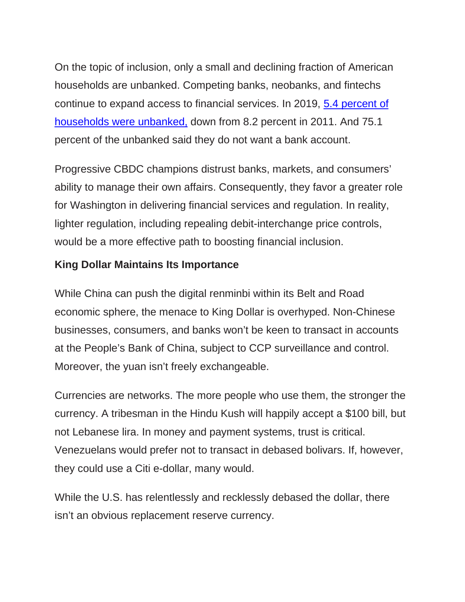On the topic of inclusion, only a small and declining fraction of American households are unbanked. Competing banks, neobanks, and fintechs continue to expand access to financial services. In 2019, [5.4 percent of](https://www.fdic.gov/analysis/household-survey/2019report.pdf)  [households were unbanked,](https://www.fdic.gov/analysis/household-survey/2019report.pdf) down from 8.2 percent in 2011. And 75.1 percent of the unbanked said they do not want a bank account.

Progressive CBDC champions distrust banks, markets, and consumers' ability to manage their own affairs. Consequently, they favor a greater role for Washington in delivering financial services and regulation. In reality, lighter regulation, including repealing debit-interchange price controls, would be a more effective path to boosting financial inclusion.

## **King Dollar Maintains Its Importance**

While China can push the digital renminbi within its Belt and Road economic sphere, the menace to King Dollar is overhyped. Non-Chinese businesses, consumers, and banks won't be keen to transact in accounts at the People's Bank of China, subject to CCP surveillance and control. Moreover, the yuan isn't freely exchangeable.

Currencies are networks. The more people who use them, the stronger the currency. A tribesman in the Hindu Kush will happily accept a \$100 bill, but not Lebanese lira. In money and payment systems, trust is critical. Venezuelans would prefer not to transact in debased bolivars. If, however, they could use a Citi e-dollar, many would.

While the U.S. has relentlessly and recklessly debased the dollar, there isn't an obvious replacement reserve currency.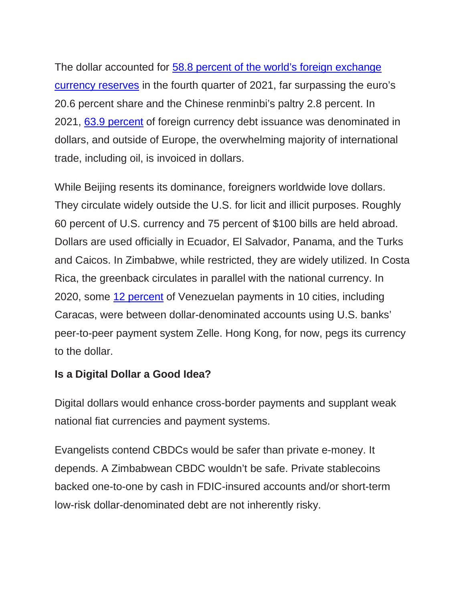The dollar accounted for [58.8 percent of the world's foreign exchange](https://data.imf.org/?sk=E6A5F467-C14B-4AA8-9F6D-5A09EC4E62A4)  [currency reserves](https://data.imf.org/?sk=E6A5F467-C14B-4AA8-9F6D-5A09EC4E62A4) in the fourth quarter of 2021, far surpassing the euro's 20.6 percent share and the Chinese renminbi's paltry 2.8 percent. In 2021, 63.9 [percent](https://www.federalreserve.gov/econres/notes/feds-notes/the-international-role-of-the-u-s-dollar-accessible-20211006.htm#fig8) of foreign currency debt issuance was denominated in dollars, and outside of Europe, the overwhelming majority of international trade, including oil, is invoiced in dollars.

While Beijing resents its dominance, foreigners worldwide love dollars. They circulate widely outside the U.S. for licit and illicit purposes. Roughly 60 percent of U.S. currency and 75 percent of \$100 bills are held abroad. Dollars are used officially in Ecuador, El Salvador, Panama, and the Turks and Caicos. In Zimbabwe, while restricted, they are widely utilized. In Costa Rica, the greenback circulates in parallel with the national currency. In 2020, some [12 percent](https://www.coindesk.com/markets/2020/06/16/venezuela-is-a-testing-ground-for-digital-dollarization-and-zelle-doesnt-like-it/) of Venezuelan payments in 10 cities, including Caracas, were between dollar-denominated accounts using U.S. banks' peer-to-peer payment system Zelle. Hong Kong, for now, pegs its currency to the dollar.

## **Is a Digital Dollar a Good Idea?**

Digital dollars would enhance cross-border payments and supplant weak national fiat currencies and payment systems.

Evangelists contend CBDCs would be safer than private e-money. It depends. A Zimbabwean CBDC wouldn't be safe. Private stablecoins backed one-to-one by cash in FDIC-insured accounts and/or short-term low-risk dollar-denominated debt are not inherently risky.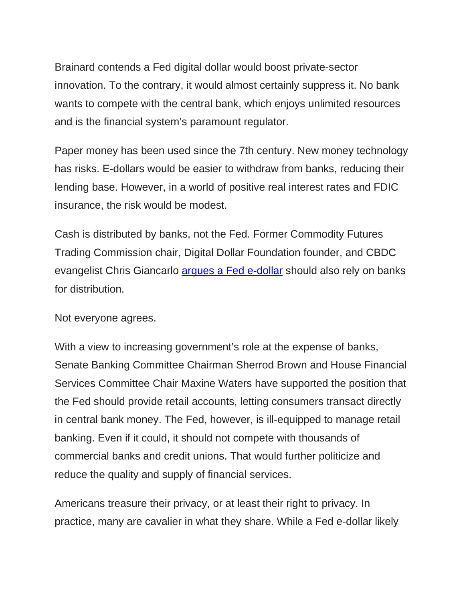Brainard contends a Fed digital dollar would boost private-sector innovation. To the contrary, it would almost certainly suppress it. No bank wants to compete with the central bank, which enjoys unlimited resources and is the financial system's paramount regulator.

Paper money has been used since the 7th century. New money technology has risks. E-dollars would be easier to withdraw from banks, reducing their lending base. However, in a world of positive real interest rates and FDIC insurance, the risk would be modest.

Cash is distributed by banks, not the Fed. Former Commodity Futures Trading Commission chair, Digital Dollar Foundation founder, and CBDC evangelist Chris Giancarlo [argues a Fed e-dollar](https://www.banking.senate.gov/imo/media/doc/Giancarlo%20Testimony%20Addendum%206-30-202.pdf) should also rely on banks for distribution.

Not everyone agrees.

With a view to increasing government's role at the expense of banks, Senate Banking Committee Chairman Sherrod Brown and House Financial Services Committee Chair Maxine Waters have supported the position that the Fed should provide retail accounts, letting consumers transact directly in central bank money. The Fed, however, is ill-equipped to manage retail banking. Even if it could, it should not compete with thousands of commercial banks and credit unions. That would further politicize and reduce the quality and supply of financial services.

Americans treasure their privacy, or at least their right to privacy. In practice, many are cavalier in what they share. While a Fed e-dollar likely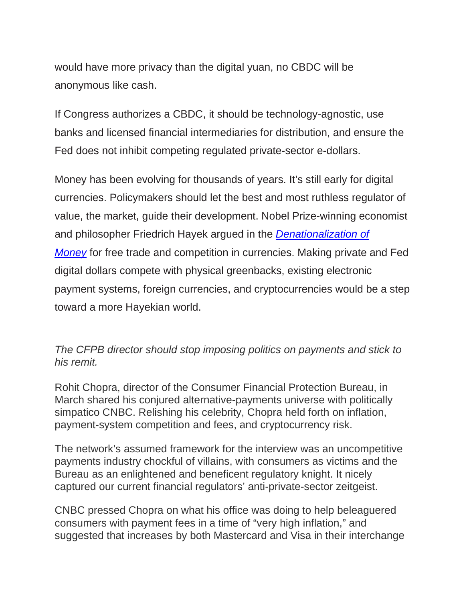would have more privacy than the digital yuan, no CBDC will be anonymous like cash.

If Congress authorizes a CBDC, it should be technology-agnostic, use banks and licensed financial intermediaries for distribution, and ensure the Fed does not inhibit competing regulated private-sector e-dollars.

Money has been evolving for thousands of years. It's still early for digital currencies. Policymakers should let the best and most ruthless regulator of value, the market, guide their development. Nobel Prize-winning economist and philosopher Friedrich Hayek argued in the *[Denationalization of](https://fee.org/resources/denationalization-of-money/)  [Money](https://fee.org/resources/denationalization-of-money/)* for free trade and competition in currencies. Making private and Fed digital dollars compete with physical greenbacks, existing electronic payment systems, foreign currencies, and cryptocurrencies would be a step toward a more Hayekian world.

## *The CFPB director should stop imposing politics on payments and stick to his remit.*

Rohit Chopra, director of the Consumer Financial Protection Bureau, in March shared his conjured alternative-payments universe with politically simpatico CNBC. Relishing his celebrity, Chopra held forth on inflation, payment-system competition and fees, and cryptocurrency risk.

The network's assumed framework for the interview was an uncompetitive payments industry chockful of villains, with consumers as victims and the Bureau as an enlightened and beneficent regulatory knight. It nicely captured our current financial regulators' anti-private-sector zeitgeist.

CNBC pressed Chopra on what his office was doing to help beleaguered consumers with payment fees in a time of "very high inflation," and suggested that increases by both Mastercard and Visa in their interchange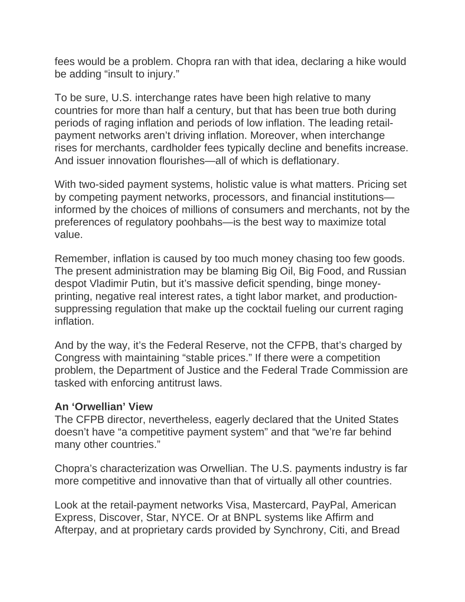fees would be a problem. Chopra ran with that idea, declaring a hike would be adding "insult to injury."

To be sure, U.S. interchange rates have been high relative to many countries for more than half a century, but that has been true both during periods of raging inflation and periods of low inflation. The leading retailpayment networks aren't driving inflation. Moreover, when interchange rises for merchants, cardholder fees typically decline and benefits increase. And issuer innovation flourishes—all of which is deflationary.

With two-sided payment systems, holistic value is what matters. Pricing set by competing payment networks, processors, and financial institutions informed by the choices of millions of consumers and merchants, not by the preferences of regulatory poohbahs—is the best way to maximize total value.

Remember, inflation is caused by too much money chasing too few goods. The present administration may be blaming Big Oil, Big Food, and Russian despot Vladimir Putin, but it's massive deficit spending, binge moneyprinting, negative real interest rates, a tight labor market, and productionsuppressing regulation that make up the cocktail fueling our current raging inflation.

And by the way, it's the Federal Reserve, not the CFPB, that's charged by Congress with maintaining "stable prices." If there were a competition problem, the Department of Justice and the Federal Trade Commission are tasked with enforcing antitrust laws.

## **An 'Orwellian' View**

The CFPB director, nevertheless, eagerly declared that the United States doesn't have "a competitive payment system" and that "we're far behind many other countries."

Chopra's characterization was Orwellian. The U.S. payments industry is far more competitive and innovative than that of virtually all other countries.

Look at the retail-payment networks Visa, Mastercard, PayPal, American Express, Discover, Star, NYCE. Or at BNPL systems like Affirm and Afterpay, and at proprietary cards provided by Synchrony, Citi, and Bread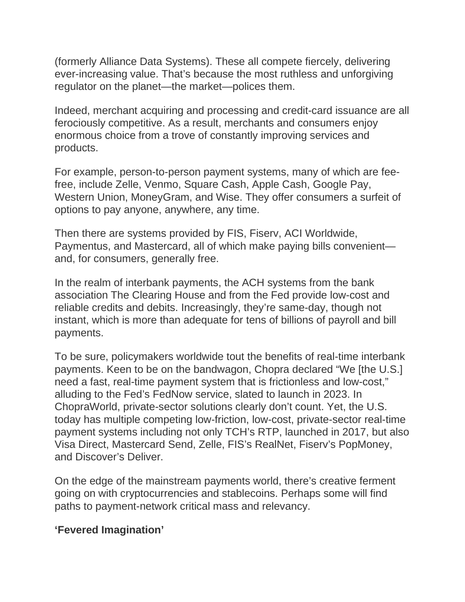(formerly Alliance Data Systems). These all compete fiercely, delivering ever-increasing value. That's because the most ruthless and unforgiving regulator on the planet—the market—polices them.

Indeed, merchant acquiring and processing and credit-card issuance are all ferociously competitive. As a result, merchants and consumers enjoy enormous choice from a trove of constantly improving services and products.

For example, person-to-person payment systems, many of which are feefree, include Zelle, Venmo, Square Cash, Apple Cash, Google Pay, Western Union, MoneyGram, and Wise. They offer consumers a surfeit of options to pay anyone, anywhere, any time.

Then there are systems provided by FIS, Fiserv, ACI Worldwide, Paymentus, and Mastercard, all of which make paying bills convenient and, for consumers, generally free.

In the realm of interbank payments, the ACH systems from the bank association The Clearing House and from the Fed provide low-cost and reliable credits and debits. Increasingly, they're same-day, though not instant, which is more than adequate for tens of billions of payroll and bill payments.

To be sure, policymakers worldwide tout the benefits of real-time interbank payments. Keen to be on the bandwagon, Chopra declared "We [the U.S.] need a fast, real-time payment system that is frictionless and low-cost," alluding to the Fed's FedNow service, slated to launch in 2023. In ChopraWorld, private-sector solutions clearly don't count. Yet, the U.S. today has multiple competing low-friction, low-cost, private-sector real-time payment systems including not only TCH's RTP, launched in 2017, but also Visa Direct, Mastercard Send, Zelle, FIS's RealNet, Fiserv's PopMoney, and Discover's Deliver.

On the edge of the mainstream payments world, there's creative ferment going on with cryptocurrencies and stablecoins. Perhaps some will find paths to payment-network critical mass and relevancy.

# **'Fevered Imagination'**